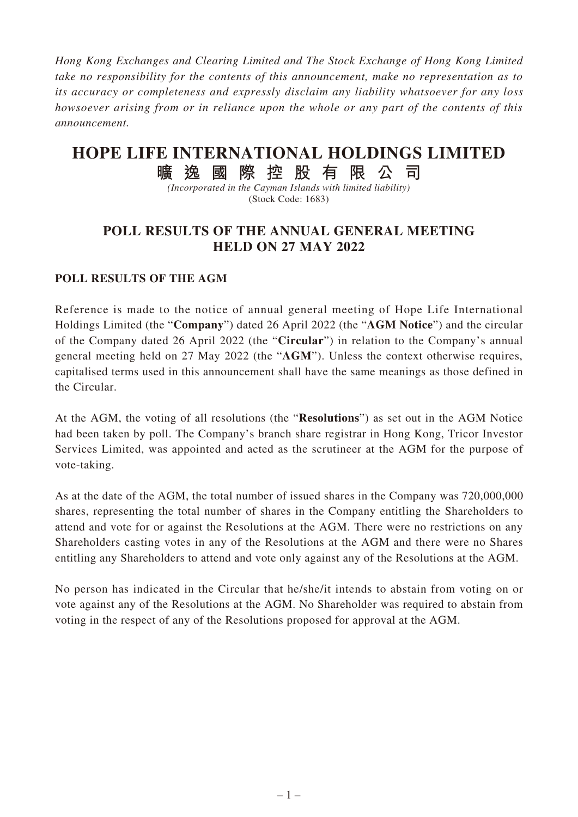*Hong Kong Exchanges and Clearing Limited and The Stock Exchange of Hong Kong Limited take no responsibility for the contents of this announcement, make no representation as to its accuracy or completeness and expressly disclaim any liability whatsoever for any loss howsoever arising from or in reliance upon the whole or any part of the contents of this announcement.*

## **HOPE LIFE INTERNATIONAL HOLDINGS LIMITED**

**曠逸國際控股有限公司**

*(Incorporated in the Cayman Islands with limited liability)* (Stock Code: 1683)

## **POLL RESULTS OF THE ANNUAL GENERAL MEETING HELD ON 27 MAY 2022**

## **POLL RESULTS OF THE AGM**

Reference is made to the notice of annual general meeting of Hope Life International Holdings Limited (the "**Company**") dated 26 April 2022 (the "**AGM Notice**") and the circular of the Company dated 26 April 2022 (the "**Circular**") in relation to the Company's annual general meeting held on 27 May 2022 (the "**AGM**"). Unless the context otherwise requires, capitalised terms used in this announcement shall have the same meanings as those defined in the Circular.

At the AGM, the voting of all resolutions (the "**Resolutions**") as set out in the AGM Notice had been taken by poll. The Company's branch share registrar in Hong Kong, Tricor Investor Services Limited, was appointed and acted as the scrutineer at the AGM for the purpose of vote-taking.

As at the date of the AGM, the total number of issued shares in the Company was 720,000,000 shares, representing the total number of shares in the Company entitling the Shareholders to attend and vote for or against the Resolutions at the AGM. There were no restrictions on any Shareholders casting votes in any of the Resolutions at the AGM and there were no Shares entitling any Shareholders to attend and vote only against any of the Resolutions at the AGM.

No person has indicated in the Circular that he/she/it intends to abstain from voting on or vote against any of the Resolutions at the AGM. No Shareholder was required to abstain from voting in the respect of any of the Resolutions proposed for approval at the AGM.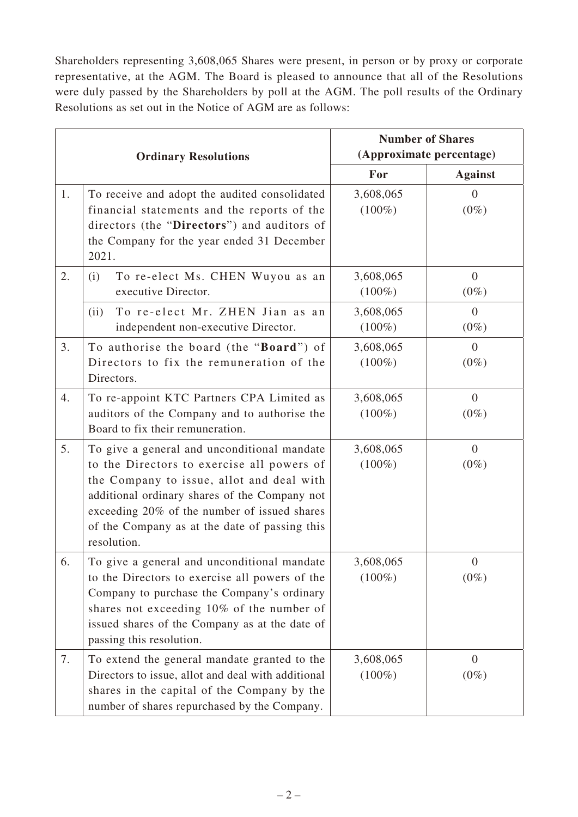Shareholders representing 3,608,065 Shares were present, in person or by proxy or corporate representative, at the AGM. The Board is pleased to announce that all of the Resolutions were duly passed by the Shareholders by poll at the AGM. The poll results of the Ordinary Resolutions as set out in the Notice of AGM are as follows:

| <b>Ordinary Resolutions</b> |                                                                                                                                                                                                                                                                                                         | <b>Number of Shares</b>  |                           |
|-----------------------------|---------------------------------------------------------------------------------------------------------------------------------------------------------------------------------------------------------------------------------------------------------------------------------------------------------|--------------------------|---------------------------|
|                             |                                                                                                                                                                                                                                                                                                         | (Approximate percentage) |                           |
|                             |                                                                                                                                                                                                                                                                                                         | For                      | <b>Against</b>            |
| 1.                          | To receive and adopt the audited consolidated<br>financial statements and the reports of the<br>directors (the "Directors") and auditors of<br>the Company for the year ended 31 December<br>2021.                                                                                                      | 3,608,065<br>$(100\%)$   | $\theta$<br>$(0\%)$       |
| 2.                          | To re-elect Ms. CHEN Wuyou as an<br>(i)<br>executive Director.                                                                                                                                                                                                                                          | 3,608,065<br>$(100\%)$   | $\overline{0}$<br>$(0\%)$ |
|                             | To re-elect Mr. ZHEN Jian as an<br>(ii)<br>independent non-executive Director.                                                                                                                                                                                                                          | 3,608,065<br>$(100\%)$   | $\theta$<br>$(0\%)$       |
| 3.                          | To authorise the board (the "Board") of<br>Directors to fix the remuneration of the<br>Directors.                                                                                                                                                                                                       | 3,608,065<br>$(100\%)$   | $\overline{0}$<br>$(0\%)$ |
| 4.                          | To re-appoint KTC Partners CPA Limited as<br>auditors of the Company and to authorise the<br>Board to fix their remuneration.                                                                                                                                                                           | 3,608,065<br>$(100\%)$   | $\overline{0}$<br>$(0\%)$ |
| 5.                          | To give a general and unconditional mandate<br>to the Directors to exercise all powers of<br>the Company to issue, allot and deal with<br>additional ordinary shares of the Company not<br>exceeding 20% of the number of issued shares<br>of the Company as at the date of passing this<br>resolution. | 3,608,065<br>$(100\%)$   | $\overline{0}$<br>$(0\%)$ |
| 6.                          | To give a general and unconditional mandate<br>to the Directors to exercise all powers of the<br>Company to purchase the Company's ordinary<br>shares not exceeding 10% of the number of<br>issued shares of the Company as at the date of<br>passing this resolution.                                  | 3,608,065<br>$(100\%)$   | $\overline{0}$<br>$(0\%)$ |
| 7.                          | To extend the general mandate granted to the<br>Directors to issue, allot and deal with additional<br>shares in the capital of the Company by the<br>number of shares repurchased by the Company.                                                                                                       | 3,608,065<br>$(100\%)$   | $\overline{0}$<br>$(0\%)$ |